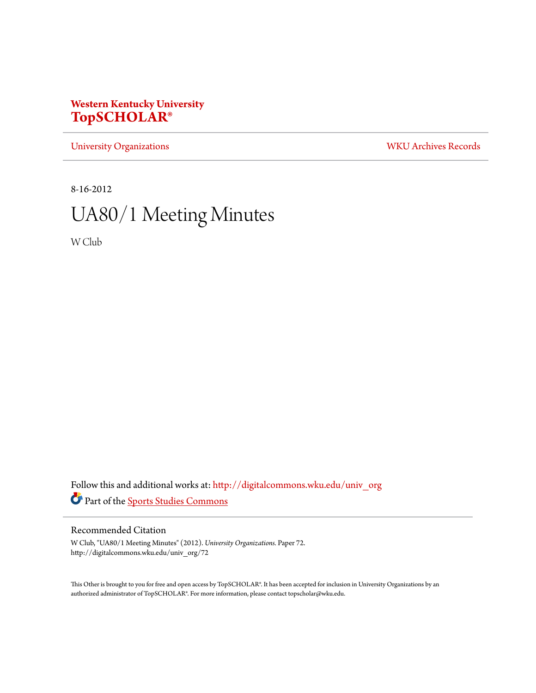# **Western Kentucky University [TopSCHOLAR®](http://digitalcommons.wku.edu?utm_source=digitalcommons.wku.edu%2Funiv_org%2F72&utm_medium=PDF&utm_campaign=PDFCoverPages)**

[University Organizations](http://digitalcommons.wku.edu/univ_org?utm_source=digitalcommons.wku.edu%2Funiv_org%2F72&utm_medium=PDF&utm_campaign=PDFCoverPages) [WKU Archives Records](http://digitalcommons.wku.edu/dlsc_ua_records?utm_source=digitalcommons.wku.edu%2Funiv_org%2F72&utm_medium=PDF&utm_campaign=PDFCoverPages)

8-16-2012

# UA80/1 Meeting Minutes

W Club

Follow this and additional works at: [http://digitalcommons.wku.edu/univ\\_org](http://digitalcommons.wku.edu/univ_org?utm_source=digitalcommons.wku.edu%2Funiv_org%2F72&utm_medium=PDF&utm_campaign=PDFCoverPages) Part of the [Sports Studies Commons](http://network.bepress.com/hgg/discipline/1198?utm_source=digitalcommons.wku.edu%2Funiv_org%2F72&utm_medium=PDF&utm_campaign=PDFCoverPages)

# Recommended Citation

W Club, "UA80/1 Meeting Minutes" (2012). *University Organizations.* Paper 72. http://digitalcommons.wku.edu/univ\_org/72

This Other is brought to you for free and open access by TopSCHOLAR®. It has been accepted for inclusion in University Organizations by an authorized administrator of TopSCHOLAR®. For more information, please contact topscholar@wku.edu.